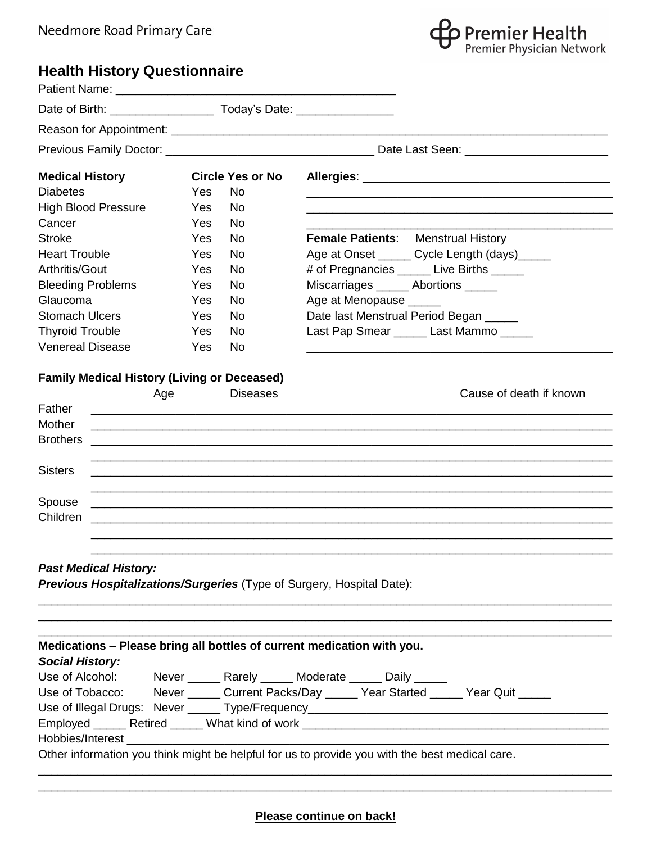

## **Health History Questionnaire**

| <b>Medical History</b>                                                 | <b>Circle Yes or No</b>                                                                                               |                                                                                                |
|------------------------------------------------------------------------|-----------------------------------------------------------------------------------------------------------------------|------------------------------------------------------------------------------------------------|
| <b>Diabetes</b>                                                        | <b>No</b><br>Yes                                                                                                      |                                                                                                |
| <b>High Blood Pressure</b>                                             | <b>No</b><br>Yes                                                                                                      |                                                                                                |
| Cancer                                                                 | Yes<br><b>No</b>                                                                                                      |                                                                                                |
| <b>Stroke</b>                                                          | <b>No</b><br>Yes                                                                                                      | <b>Female Patients:</b> Menstrual History                                                      |
| <b>Heart Trouble</b>                                                   | <b>No</b><br>Yes                                                                                                      | Age at Onset ______ Cycle Length (days)_____                                                   |
| Arthritis/Gout                                                         | <b>No</b><br>Yes                                                                                                      | # of Pregnancies ______ Live Births ______                                                     |
| <b>Bleeding Problems</b>                                               | <b>No</b><br>Yes                                                                                                      | Miscarriages ______ Abortions _____                                                            |
| Glaucoma                                                               | <b>No</b><br><b>Yes</b>                                                                                               | Age at Menopause _____                                                                         |
| <b>Stomach Ulcers</b>                                                  | <b>No</b><br><b>Yes</b>                                                                                               | Date last Menstrual Period Began _____                                                         |
| <b>Thyroid Trouble</b>                                                 | <b>No</b><br>Yes                                                                                                      | Last Pap Smear ______ Last Mammo _____                                                         |
| <b>Venereal Disease</b>                                                | <b>No</b><br>Yes                                                                                                      |                                                                                                |
| <b>Family Medical History (Living or Deceased)</b>                     |                                                                                                                       |                                                                                                |
| Age                                                                    | <b>Diseases</b>                                                                                                       | Cause of death if known                                                                        |
| Father                                                                 |                                                                                                                       |                                                                                                |
| Mother                                                                 | <u> 1989 - Johann Stoff, deutscher Stoff, der Stoff, der Stoff, der Stoff, der Stoff, der Stoff, der Stoff, der S</u> |                                                                                                |
| <b>Brothers</b>                                                        |                                                                                                                       |                                                                                                |
|                                                                        |                                                                                                                       |                                                                                                |
| <b>Sisters</b>                                                         |                                                                                                                       |                                                                                                |
|                                                                        |                                                                                                                       |                                                                                                |
| Spouse                                                                 |                                                                                                                       |                                                                                                |
| Children                                                               |                                                                                                                       |                                                                                                |
|                                                                        |                                                                                                                       |                                                                                                |
| <b>Past Medical History:</b>                                           |                                                                                                                       |                                                                                                |
| Previous Hospitalizations/Surgeries (Type of Surgery, Hospital Date):  |                                                                                                                       |                                                                                                |
|                                                                        |                                                                                                                       |                                                                                                |
| Medications - Please bring all bottles of current medication with you. |                                                                                                                       |                                                                                                |
| <b>Social History:</b>                                                 |                                                                                                                       |                                                                                                |
|                                                                        |                                                                                                                       | Use of Alcohol: Never ______ Rarely _____ Moderate _____ Daily _____                           |
|                                                                        |                                                                                                                       | Use of Tobacco: Never ______ Current Packs/Day _____ Year Started _____ Year Quit _____        |
|                                                                        |                                                                                                                       |                                                                                                |
|                                                                        |                                                                                                                       |                                                                                                |
| Hobbies/Interest _________                                             |                                                                                                                       |                                                                                                |
|                                                                        |                                                                                                                       | Other information you think might be helpful for us to provide you with the best medical care. |
|                                                                        |                                                                                                                       |                                                                                                |